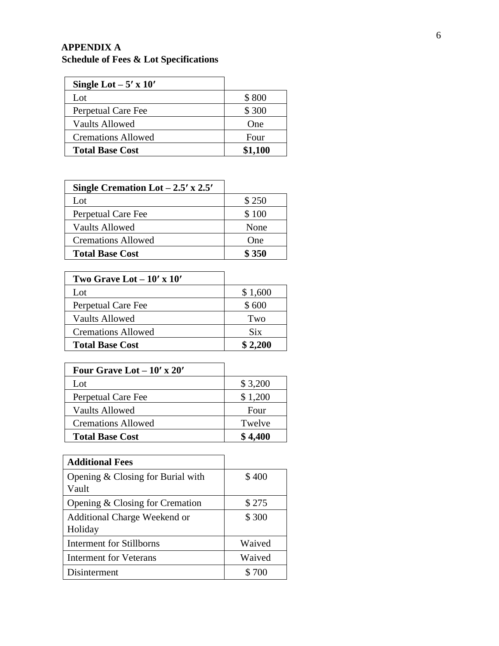## **APPENDIX A Schedule of Fees & Lot Specifications**

| Single Lot $-5' \times 10'$ |         |
|-----------------------------|---------|
| Lot                         | \$800   |
| Perpetual Care Fee          | \$300   |
| Vaults Allowed              | One     |
| <b>Cremations Allowed</b>   | Four    |
| <b>Total Base Cost</b>      | \$1,100 |

| Single Cremation Lot $-2.5'$ x 2.5' |       |
|-------------------------------------|-------|
| Lot                                 | \$250 |
| Perpetual Care Fee                  | \$100 |
| Vaults Allowed                      | None  |
| <b>Cremations Allowed</b>           | One   |
| <b>Total Base Cost</b>              | \$350 |

| \$1,600    |
|------------|
| \$600      |
| Two        |
| <b>Six</b> |
| \$2,200    |
|            |

| Four Grave Lot $-10'$ x 20' |         |
|-----------------------------|---------|
| Lot                         | \$3,200 |
| Perpetual Care Fee          | \$1,200 |
| <b>Vaults Allowed</b>       | Four    |
| <b>Cremations Allowed</b>   | Twelve  |
| <b>Total Base Cost</b>      | \$4,400 |

| <b>Additional Fees</b>                       |        |
|----------------------------------------------|--------|
| Opening $& Closing for Burial with$<br>Vault | \$400  |
| Opening & Closing for Cremation              | \$275  |
| Additional Charge Weekend or<br>Holiday      | \$300  |
| <b>Interment for Stillborns</b>              | Waived |
| <b>Interment for Veterans</b>                | Waived |
| Disinterment                                 | \$700  |